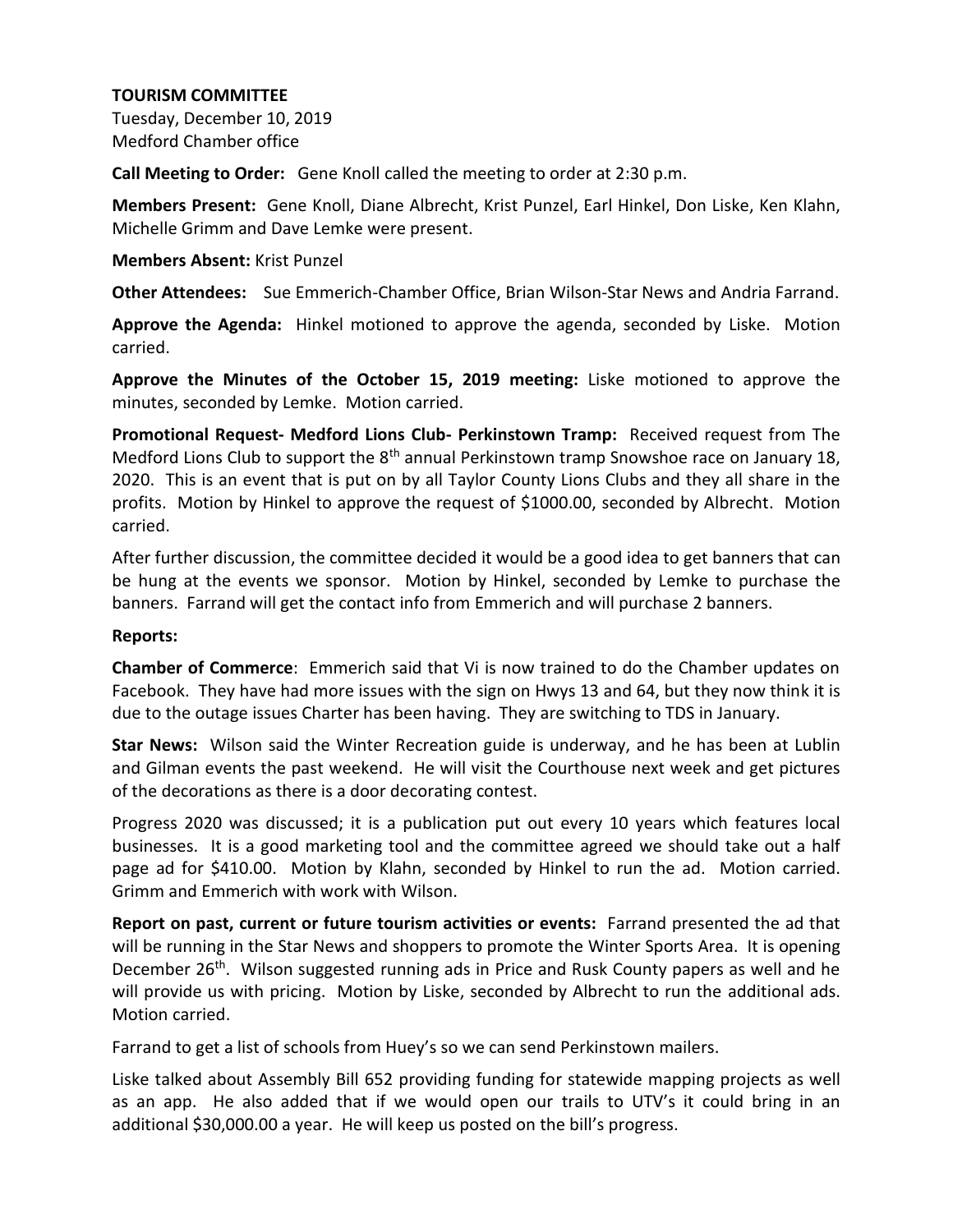Tuesday, December 10, 2019 Medford Chamber office

**Call Meeting to Order:** Gene Knoll called the meeting to order at 2:30 p.m.

**Members Present:** Gene Knoll, Diane Albrecht, Krist Punzel, Earl Hinkel, Don Liske, Ken Klahn, Michelle Grimm and Dave Lemke were present.

### **Members Absent:** Krist Punzel

**Other Attendees:** Sue Emmerich-Chamber Office, Brian Wilson-Star News and Andria Farrand.

**Approve the Agenda:** Hinkel motioned to approve the agenda, seconded by Liske. Motion carried.

**Approve the Minutes of the October 15, 2019 meeting:** Liske motioned to approve the minutes, seconded by Lemke. Motion carried.

**Promotional Request- Medford Lions Club- Perkinstown Tramp:** Received request from The Medford Lions Club to support the  $8<sup>th</sup>$  annual Perkinstown tramp Snowshoe race on January 18, 2020. This is an event that is put on by all Taylor County Lions Clubs and they all share in the profits. Motion by Hinkel to approve the request of \$1000.00, seconded by Albrecht. Motion carried.

After further discussion, the committee decided it would be a good idea to get banners that can be hung at the events we sponsor. Motion by Hinkel, seconded by Lemke to purchase the banners. Farrand will get the contact info from Emmerich and will purchase 2 banners.

### **Reports:**

**Chamber of Commerce**: Emmerich said that Vi is now trained to do the Chamber updates on Facebook. They have had more issues with the sign on Hwys 13 and 64, but they now think it is due to the outage issues Charter has been having. They are switching to TDS in January.

**Star News:** Wilson said the Winter Recreation guide is underway, and he has been at Lublin and Gilman events the past weekend. He will visit the Courthouse next week and get pictures of the decorations as there is a door decorating contest.

Progress 2020 was discussed; it is a publication put out every 10 years which features local businesses. It is a good marketing tool and the committee agreed we should take out a half page ad for \$410.00. Motion by Klahn, seconded by Hinkel to run the ad. Motion carried. Grimm and Emmerich with work with Wilson.

**Report on past, current or future tourism activities or events:** Farrand presented the ad that will be running in the Star News and shoppers to promote the Winter Sports Area. It is opening December 26<sup>th</sup>. Wilson suggested running ads in Price and Rusk County papers as well and he will provide us with pricing. Motion by Liske, seconded by Albrecht to run the additional ads. Motion carried.

Farrand to get a list of schools from Huey's so we can send Perkinstown mailers.

Liske talked about Assembly Bill 652 providing funding for statewide mapping projects as well as an app. He also added that if we would open our trails to UTV's it could bring in an additional \$30,000.00 a year. He will keep us posted on the bill's progress.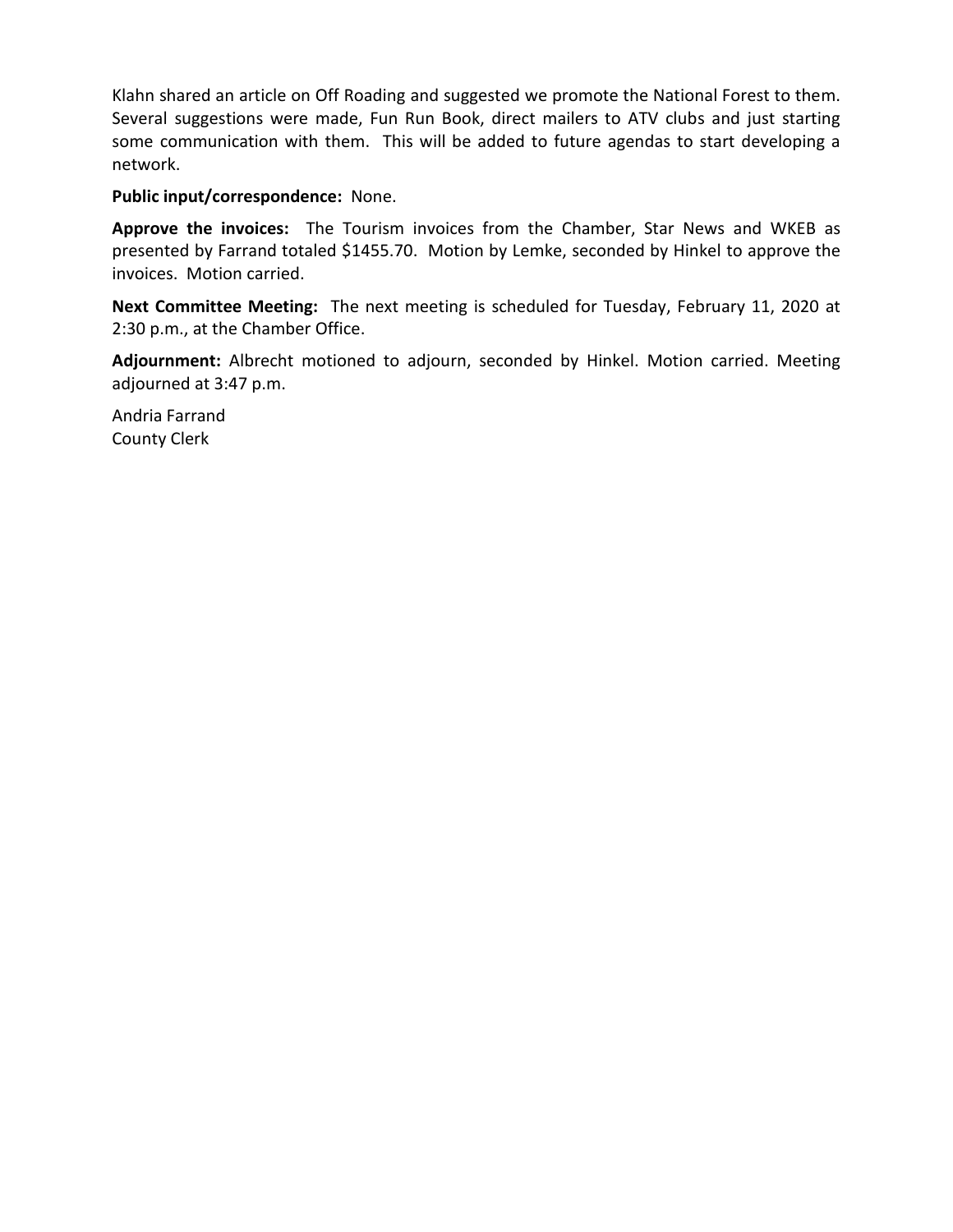Klahn shared an article on Off Roading and suggested we promote the National Forest to them. Several suggestions were made, Fun Run Book, direct mailers to ATV clubs and just starting some communication with them. This will be added to future agendas to start developing a network.

### **Public input/correspondence:** None.

**Approve the invoices:** The Tourism invoices from the Chamber, Star News and WKEB as presented by Farrand totaled \$1455.70. Motion by Lemke, seconded by Hinkel to approve the invoices. Motion carried.

**Next Committee Meeting:** The next meeting is scheduled for Tuesday, February 11, 2020 at 2:30 p.m., at the Chamber Office.

**Adjournment:** Albrecht motioned to adjourn, seconded by Hinkel. Motion carried. Meeting adjourned at 3:47 p.m.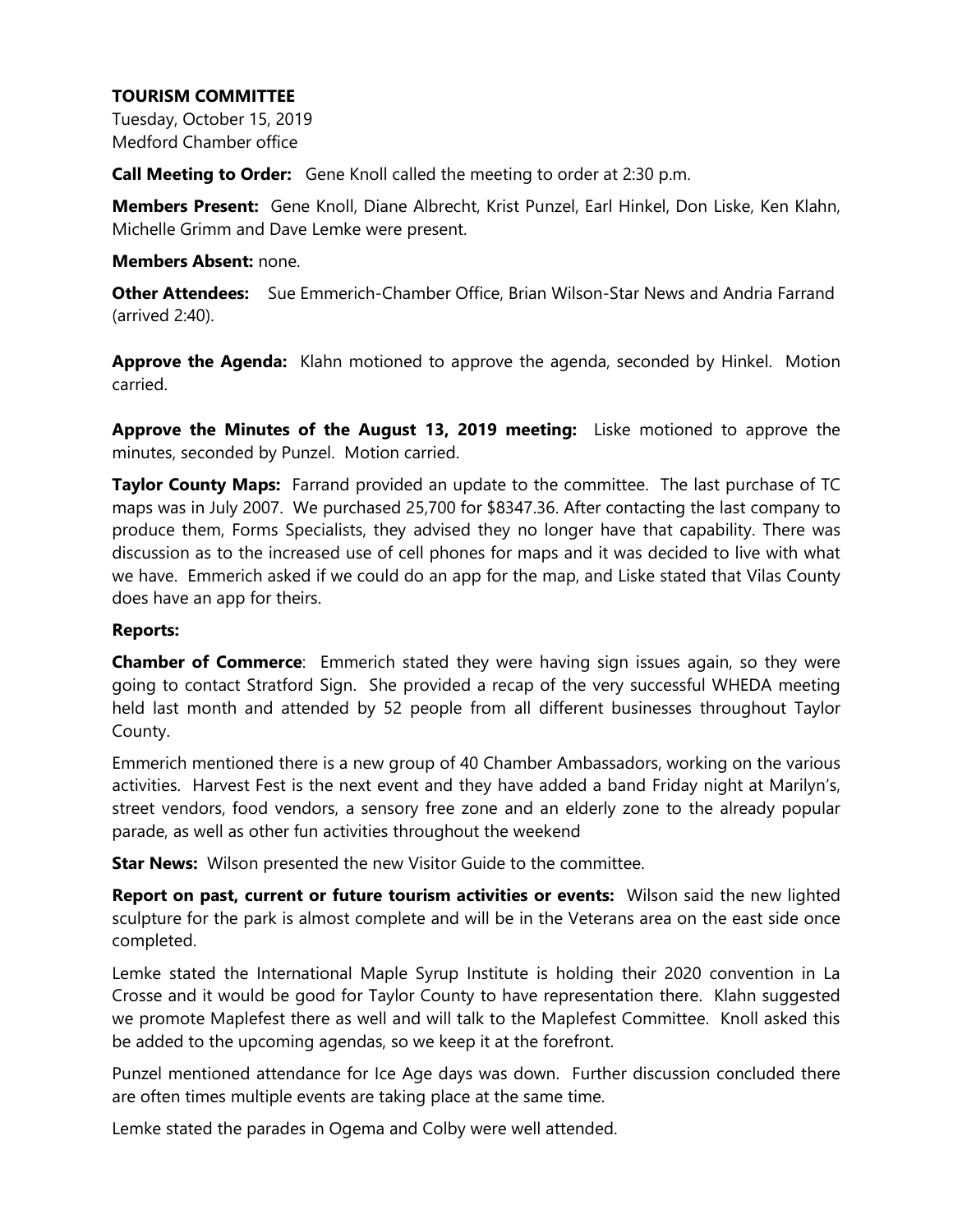Tuesday, October 15, 2019 Medford Chamber office

**Call Meeting to Order:** Gene Knoll called the meeting to order at 2:30 p.m.

**Members Present:** Gene Knoll, Diane Albrecht, Krist Punzel, Earl Hinkel, Don Liske, Ken Klahn, Michelle Grimm and Dave Lemke were present.

#### **Members Absent:** none.

**Other Attendees:** Sue Emmerich-Chamber Office, Brian Wilson-Star News and Andria Farrand (arrived 2:40).

**Approve the Agenda:** Klahn motioned to approve the agenda, seconded by Hinkel. Motion carried.

**Approve the Minutes of the August 13, 2019 meeting:** Liske motioned to approve the minutes, seconded by Punzel. Motion carried.

**Taylor County Maps:** Farrand provided an update to the committee. The last purchase of TC maps was in July 2007. We purchased 25,700 for \$8347.36. After contacting the last company to produce them, Forms Specialists, they advised they no longer have that capability. There was discussion as to the increased use of cell phones for maps and it was decided to live with what we have. Emmerich asked if we could do an app for the map, and Liske stated that Vilas County does have an app for theirs.

#### **Reports:**

**Chamber of Commerce**: Emmerich stated they were having sign issues again, so they were going to contact Stratford Sign. She provided a recap of the very successful WHEDA meeting held last month and attended by 52 people from all different businesses throughout Taylor County.

Emmerich mentioned there is a new group of 40 Chamber Ambassadors, working on the various activities. Harvest Fest is the next event and they have added a band Friday night at Marilyn's, street vendors, food vendors, a sensory free zone and an elderly zone to the already popular parade, as well as other fun activities throughout the weekend

**Star News:** Wilson presented the new Visitor Guide to the committee.

**Report on past, current or future tourism activities or events:** Wilson said the new lighted sculpture for the park is almost complete and will be in the Veterans area on the east side once completed.

Lemke stated the International Maple Syrup Institute is holding their 2020 convention in La Crosse and it would be good for Taylor County to have representation there. Klahn suggested we promote Maplefest there as well and will talk to the Maplefest Committee. Knoll asked this be added to the upcoming agendas, so we keep it at the forefront.

Punzel mentioned attendance for Ice Age days was down. Further discussion concluded there are often times multiple events are taking place at the same time.

Lemke stated the parades in Ogema and Colby were well attended.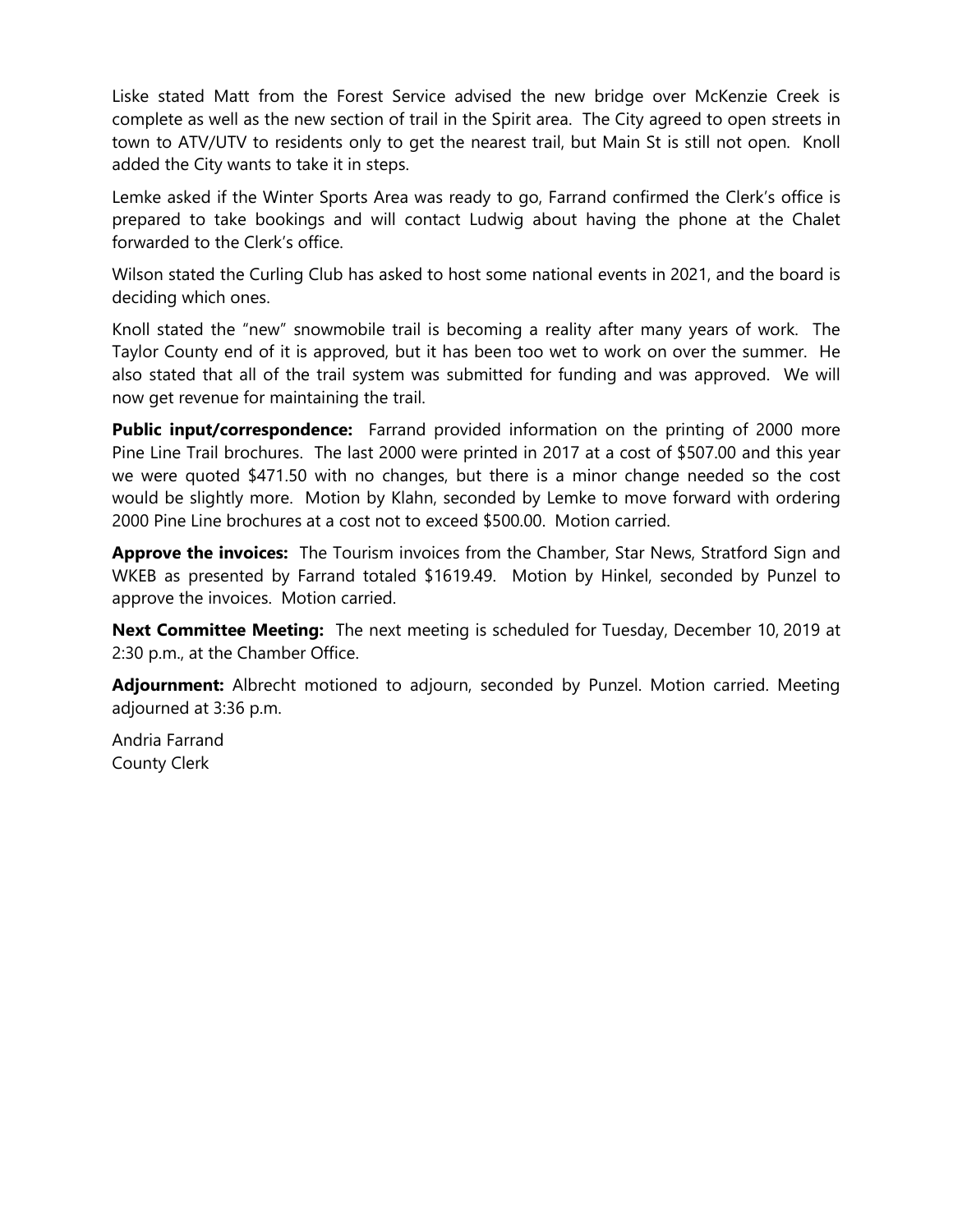Liske stated Matt from the Forest Service advised the new bridge over McKenzie Creek is complete as well as the new section of trail in the Spirit area. The City agreed to open streets in town to ATV/UTV to residents only to get the nearest trail, but Main St is still not open. Knoll added the City wants to take it in steps.

Lemke asked if the Winter Sports Area was ready to go, Farrand confirmed the Clerk's office is prepared to take bookings and will contact Ludwig about having the phone at the Chalet forwarded to the Clerk's office.

Wilson stated the Curling Club has asked to host some national events in 2021, and the board is deciding which ones.

Knoll stated the "new" snowmobile trail is becoming a reality after many years of work. The Taylor County end of it is approved, but it has been too wet to work on over the summer. He also stated that all of the trail system was submitted for funding and was approved. We will now get revenue for maintaining the trail.

**Public input/correspondence:** Farrand provided information on the printing of 2000 more Pine Line Trail brochures. The last 2000 were printed in 2017 at a cost of \$507.00 and this year we were quoted \$471.50 with no changes, but there is a minor change needed so the cost would be slightly more. Motion by Klahn, seconded by Lemke to move forward with ordering 2000 Pine Line brochures at a cost not to exceed \$500.00. Motion carried.

**Approve the invoices:** The Tourism invoices from the Chamber, Star News, Stratford Sign and WKEB as presented by Farrand totaled \$1619.49. Motion by Hinkel, seconded by Punzel to approve the invoices. Motion carried.

**Next Committee Meeting:** The next meeting is scheduled for Tuesday, December 10, 2019 at 2:30 p.m., at the Chamber Office.

**Adjournment:** Albrecht motioned to adjourn, seconded by Punzel. Motion carried. Meeting adjourned at 3:36 p.m.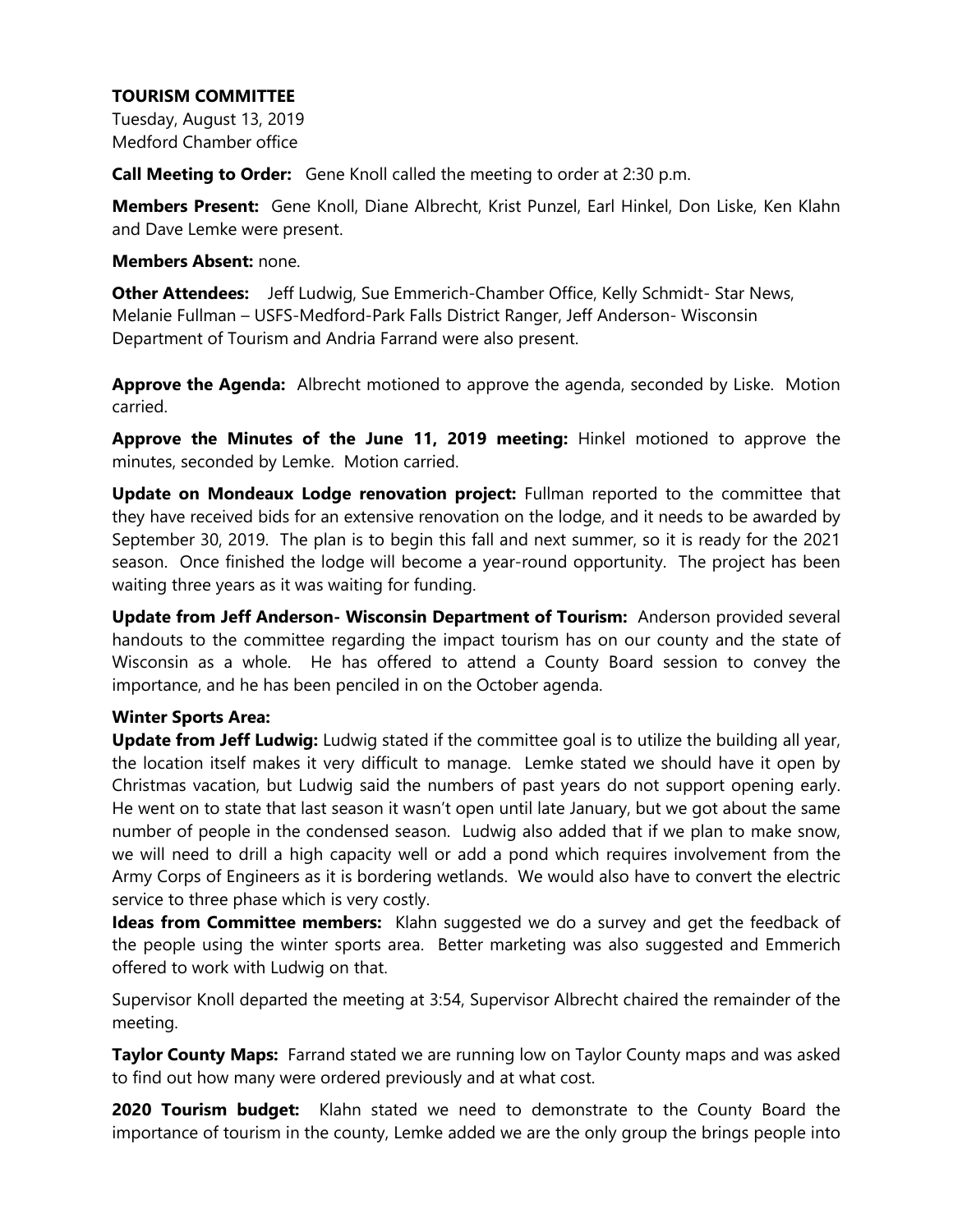Tuesday, August 13, 2019 Medford Chamber office

**Call Meeting to Order:** Gene Knoll called the meeting to order at 2:30 p.m.

**Members Present:** Gene Knoll, Diane Albrecht, Krist Punzel, Earl Hinkel, Don Liske, Ken Klahn and Dave Lemke were present.

#### **Members Absent:** none.

**Other Attendees:** Jeff Ludwig, Sue Emmerich-Chamber Office, Kelly Schmidt- Star News, Melanie Fullman – USFS-Medford-Park Falls District Ranger, Jeff Anderson- Wisconsin Department of Tourism and Andria Farrand were also present.

**Approve the Agenda:** Albrecht motioned to approve the agenda, seconded by Liske. Motion carried.

**Approve the Minutes of the June 11, 2019 meeting:** Hinkel motioned to approve the minutes, seconded by Lemke. Motion carried.

**Update on Mondeaux Lodge renovation project:** Fullman reported to the committee that they have received bids for an extensive renovation on the lodge, and it needs to be awarded by September 30, 2019. The plan is to begin this fall and next summer, so it is ready for the 2021 season. Once finished the lodge will become a year-round opportunity. The project has been waiting three years as it was waiting for funding.

**Update from Jeff Anderson- Wisconsin Department of Tourism:** Anderson provided several handouts to the committee regarding the impact tourism has on our county and the state of Wisconsin as a whole. He has offered to attend a County Board session to convey the importance, and he has been penciled in on the October agenda.

### **Winter Sports Area:**

**Update from Jeff Ludwig:** Ludwig stated if the committee goal is to utilize the building all year, the location itself makes it very difficult to manage. Lemke stated we should have it open by Christmas vacation, but Ludwig said the numbers of past years do not support opening early. He went on to state that last season it wasn't open until late January, but we got about the same number of people in the condensed season. Ludwig also added that if we plan to make snow, we will need to drill a high capacity well or add a pond which requires involvement from the Army Corps of Engineers as it is bordering wetlands. We would also have to convert the electric service to three phase which is very costly.

**Ideas from Committee members:** Klahn suggested we do a survey and get the feedback of the people using the winter sports area. Better marketing was also suggested and Emmerich offered to work with Ludwig on that.

Supervisor Knoll departed the meeting at 3:54, Supervisor Albrecht chaired the remainder of the meeting.

**Taylor County Maps:** Farrand stated we are running low on Taylor County maps and was asked to find out how many were ordered previously and at what cost.

**2020 Tourism budget:** Klahn stated we need to demonstrate to the County Board the importance of tourism in the county, Lemke added we are the only group the brings people into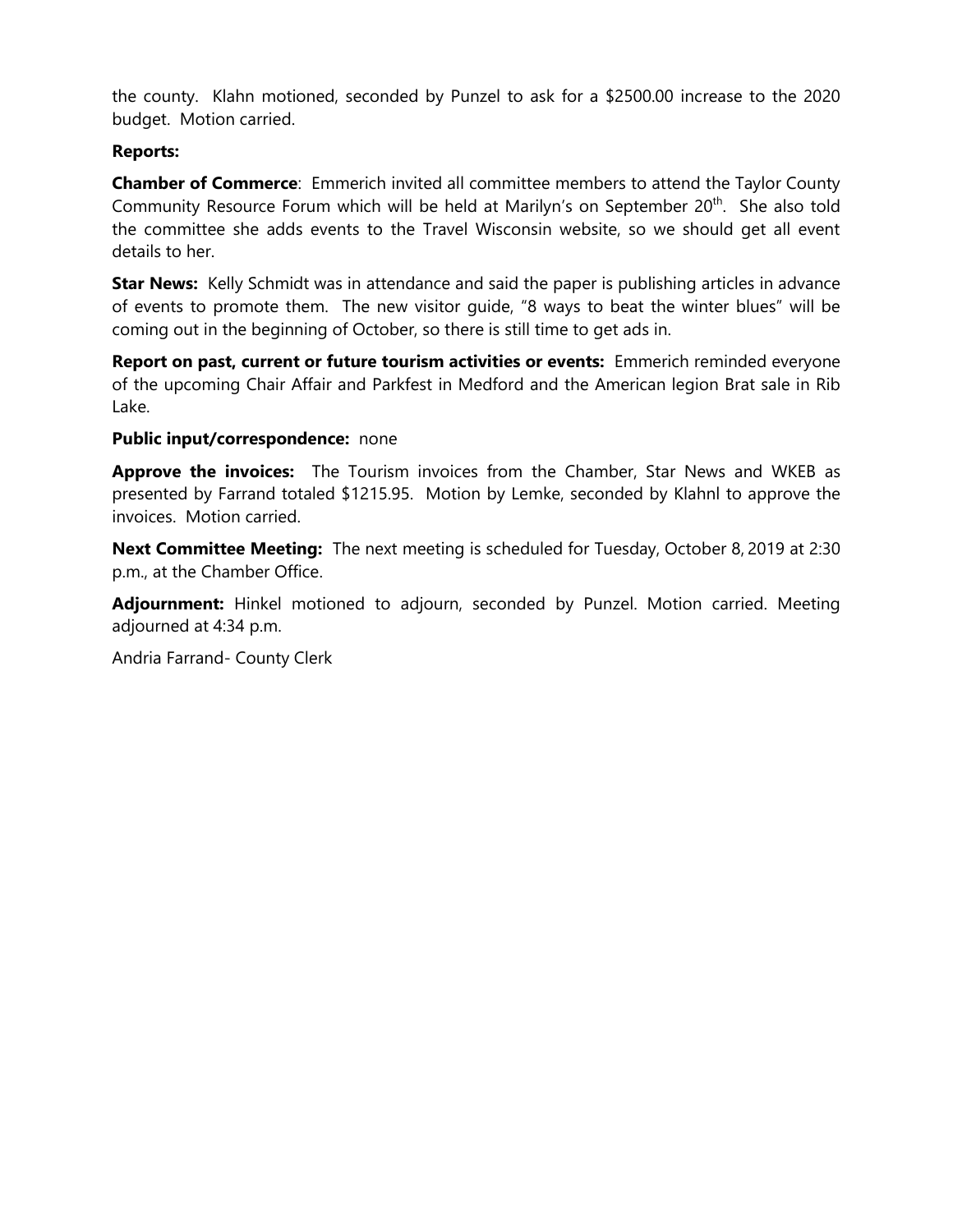the county. Klahn motioned, seconded by Punzel to ask for a \$2500.00 increase to the 2020 budget. Motion carried.

### **Reports:**

**Chamber of Commerce**: Emmerich invited all committee members to attend the Taylor County Community Resource Forum which will be held at Marilyn's on September 20<sup>th</sup>. She also told the committee she adds events to the Travel Wisconsin website, so we should get all event details to her.

**Star News:** Kelly Schmidt was in attendance and said the paper is publishing articles in advance of events to promote them. The new visitor guide, "8 ways to beat the winter blues" will be coming out in the beginning of October, so there is still time to get ads in.

**Report on past, current or future tourism activities or events:** Emmerich reminded everyone of the upcoming Chair Affair and Parkfest in Medford and the American legion Brat sale in Rib Lake.

### **Public input/correspondence:** none

**Approve the invoices:** The Tourism invoices from the Chamber, Star News and WKEB as presented by Farrand totaled \$1215.95. Motion by Lemke, seconded by Klahnl to approve the invoices. Motion carried.

**Next Committee Meeting:** The next meeting is scheduled for Tuesday, October 8, 2019 at 2:30 p.m., at the Chamber Office.

**Adjournment:** Hinkel motioned to adjourn, seconded by Punzel. Motion carried. Meeting adjourned at 4:34 p.m.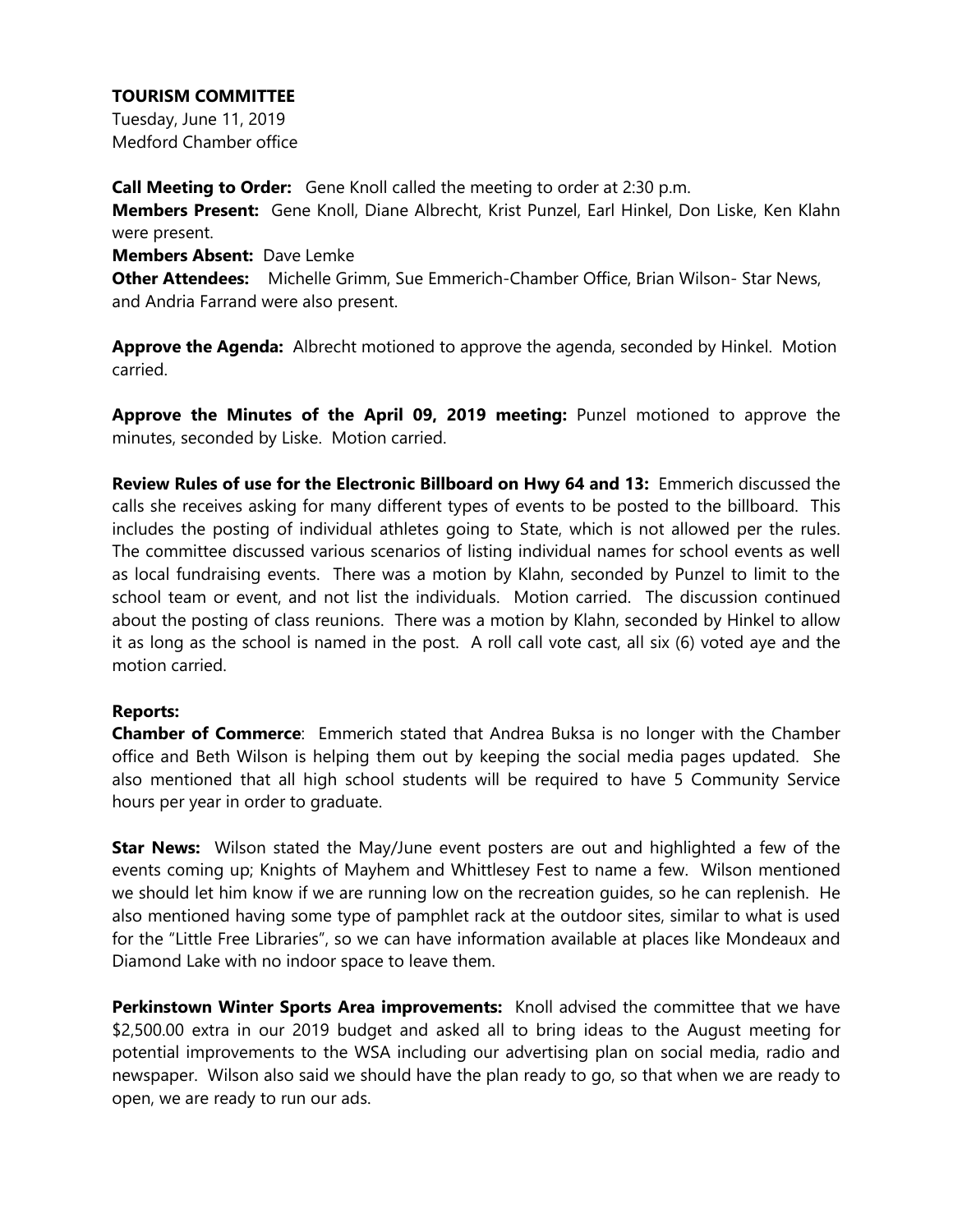Tuesday, June 11, 2019 Medford Chamber office

**Call Meeting to Order:** Gene Knoll called the meeting to order at 2:30 p.m. **Members Present:** Gene Knoll, Diane Albrecht, Krist Punzel, Earl Hinkel, Don Liske, Ken Klahn were present.

**Members Absent:** Dave Lemke

**Other Attendees:** Michelle Grimm, Sue Emmerich-Chamber Office, Brian Wilson- Star News, and Andria Farrand were also present.

**Approve the Agenda:** Albrecht motioned to approve the agenda, seconded by Hinkel. Motion carried.

**Approve the Minutes of the April 09, 2019 meeting:** Punzel motioned to approve the minutes, seconded by Liske. Motion carried.

**Review Rules of use for the Electronic Billboard on Hwy 64 and 13:** Emmerich discussed the calls she receives asking for many different types of events to be posted to the billboard. This includes the posting of individual athletes going to State, which is not allowed per the rules. The committee discussed various scenarios of listing individual names for school events as well as local fundraising events. There was a motion by Klahn, seconded by Punzel to limit to the school team or event, and not list the individuals. Motion carried. The discussion continued about the posting of class reunions. There was a motion by Klahn, seconded by Hinkel to allow it as long as the school is named in the post. A roll call vote cast, all six (6) voted aye and the motion carried.

### **Reports:**

**Chamber of Commerce**: Emmerich stated that Andrea Buksa is no longer with the Chamber office and Beth Wilson is helping them out by keeping the social media pages updated. She also mentioned that all high school students will be required to have 5 Community Service hours per year in order to graduate.

**Star News:** Wilson stated the May/June event posters are out and highlighted a few of the events coming up; Knights of Mayhem and Whittlesey Fest to name a few. Wilson mentioned we should let him know if we are running low on the recreation guides, so he can replenish. He also mentioned having some type of pamphlet rack at the outdoor sites, similar to what is used for the "Little Free Libraries", so we can have information available at places like Mondeaux and Diamond Lake with no indoor space to leave them.

**Perkinstown Winter Sports Area improvements:** Knoll advised the committee that we have \$2,500.00 extra in our 2019 budget and asked all to bring ideas to the August meeting for potential improvements to the WSA including our advertising plan on social media, radio and newspaper. Wilson also said we should have the plan ready to go, so that when we are ready to open, we are ready to run our ads.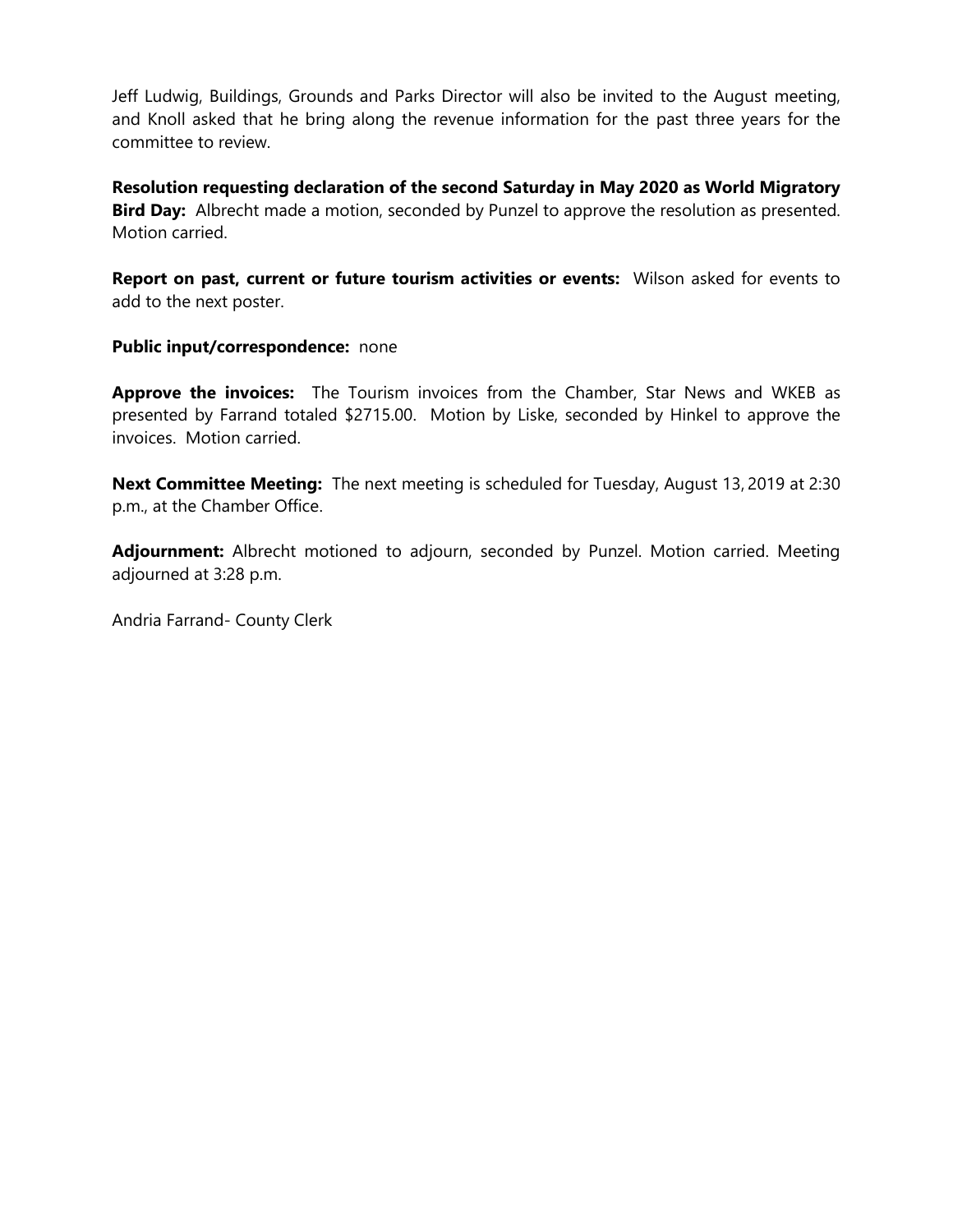Jeff Ludwig, Buildings, Grounds and Parks Director will also be invited to the August meeting, and Knoll asked that he bring along the revenue information for the past three years for the committee to review.

**Resolution requesting declaration of the second Saturday in May 2020 as World Migratory Bird Day:** Albrecht made a motion, seconded by Punzel to approve the resolution as presented. Motion carried.

**Report on past, current or future tourism activities or events:** Wilson asked for events to add to the next poster.

#### **Public input/correspondence:** none

**Approve the invoices:** The Tourism invoices from the Chamber, Star News and WKEB as presented by Farrand totaled \$2715.00. Motion by Liske, seconded by Hinkel to approve the invoices. Motion carried.

**Next Committee Meeting:** The next meeting is scheduled for Tuesday, August 13, 2019 at 2:30 p.m., at the Chamber Office.

**Adjournment:** Albrecht motioned to adjourn, seconded by Punzel. Motion carried. Meeting adjourned at 3:28 p.m.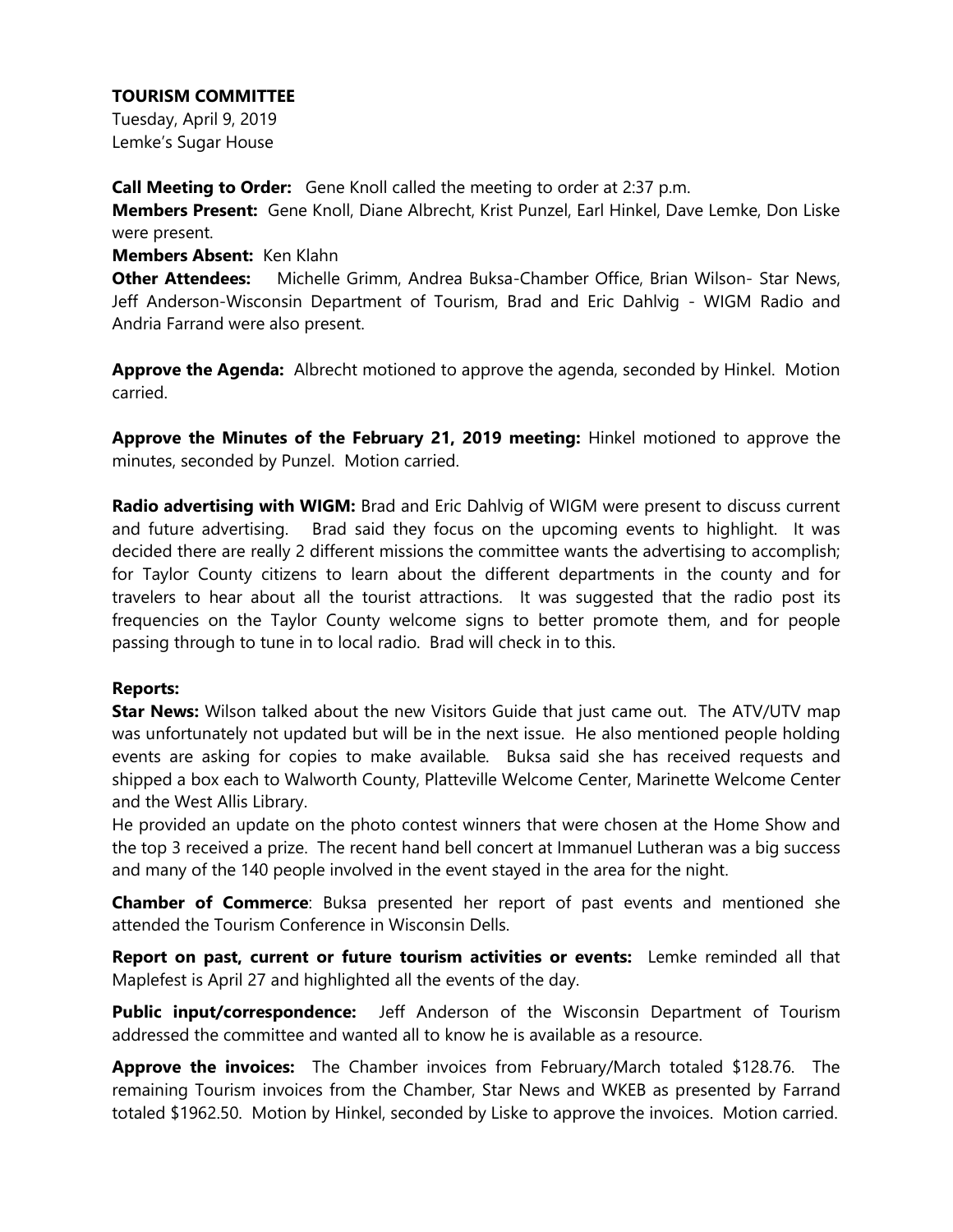Tuesday, April 9, 2019 Lemke's Sugar House

**Call Meeting to Order:** Gene Knoll called the meeting to order at 2:37 p.m.

**Members Present:** Gene Knoll, Diane Albrecht, Krist Punzel, Earl Hinkel, Dave Lemke, Don Liske were present.

### **Members Absent:** Ken Klahn

**Other Attendees:** Michelle Grimm, Andrea Buksa-Chamber Office, Brian Wilson- Star News, Jeff Anderson-Wisconsin Department of Tourism, Brad and Eric Dahlvig - WIGM Radio and Andria Farrand were also present.

**Approve the Agenda:** Albrecht motioned to approve the agenda, seconded by Hinkel. Motion carried.

**Approve the Minutes of the February 21, 2019 meeting:** Hinkel motioned to approve the minutes, seconded by Punzel. Motion carried.

**Radio advertising with WIGM:** Brad and Eric Dahlvig of WIGM were present to discuss current and future advertising. Brad said they focus on the upcoming events to highlight. It was decided there are really 2 different missions the committee wants the advertising to accomplish; for Taylor County citizens to learn about the different departments in the county and for travelers to hear about all the tourist attractions. It was suggested that the radio post its frequencies on the Taylor County welcome signs to better promote them, and for people passing through to tune in to local radio. Brad will check in to this.

### **Reports:**

**Star News:** Wilson talked about the new Visitors Guide that just came out. The ATV/UTV map was unfortunately not updated but will be in the next issue. He also mentioned people holding events are asking for copies to make available. Buksa said she has received requests and shipped a box each to Walworth County, Platteville Welcome Center, Marinette Welcome Center and the West Allis Library.

He provided an update on the photo contest winners that were chosen at the Home Show and the top 3 received a prize. The recent hand bell concert at Immanuel Lutheran was a big success and many of the 140 people involved in the event stayed in the area for the night.

**Chamber of Commerce**: Buksa presented her report of past events and mentioned she attended the Tourism Conference in Wisconsin Dells.

**Report on past, current or future tourism activities or events:** Lemke reminded all that Maplefest is April 27 and highlighted all the events of the day.

**Public input/correspondence:** Jeff Anderson of the Wisconsin Department of Tourism addressed the committee and wanted all to know he is available as a resource.

**Approve the invoices:** The Chamber invoices from February/March totaled \$128.76. The remaining Tourism invoices from the Chamber, Star News and WKEB as presented by Farrand totaled \$1962.50. Motion by Hinkel, seconded by Liske to approve the invoices. Motion carried.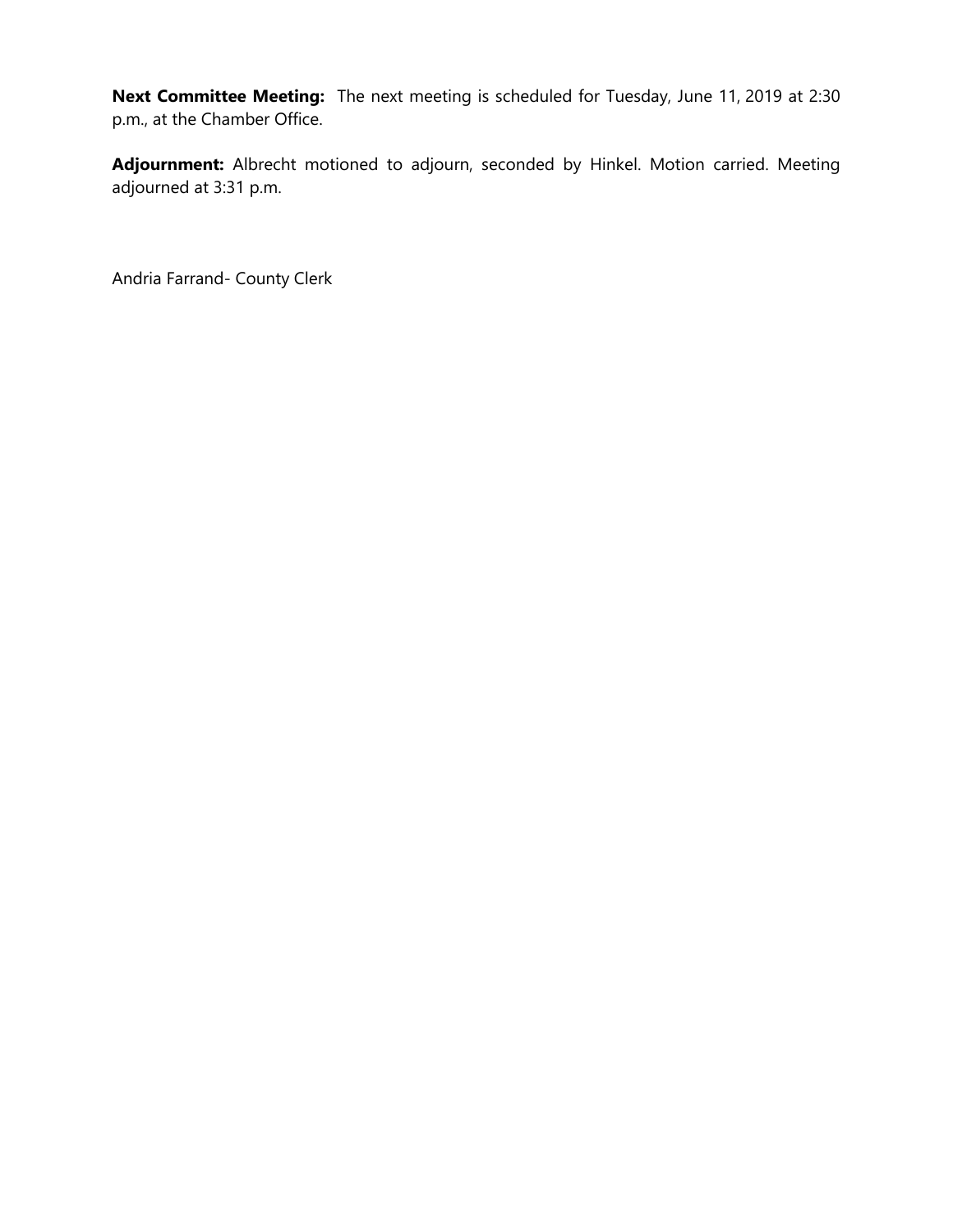**Next Committee Meeting:** The next meeting is scheduled for Tuesday, June 11, 2019 at 2:30 p.m., at the Chamber Office.

**Adjournment:** Albrecht motioned to adjourn, seconded by Hinkel. Motion carried. Meeting adjourned at 3:31 p.m.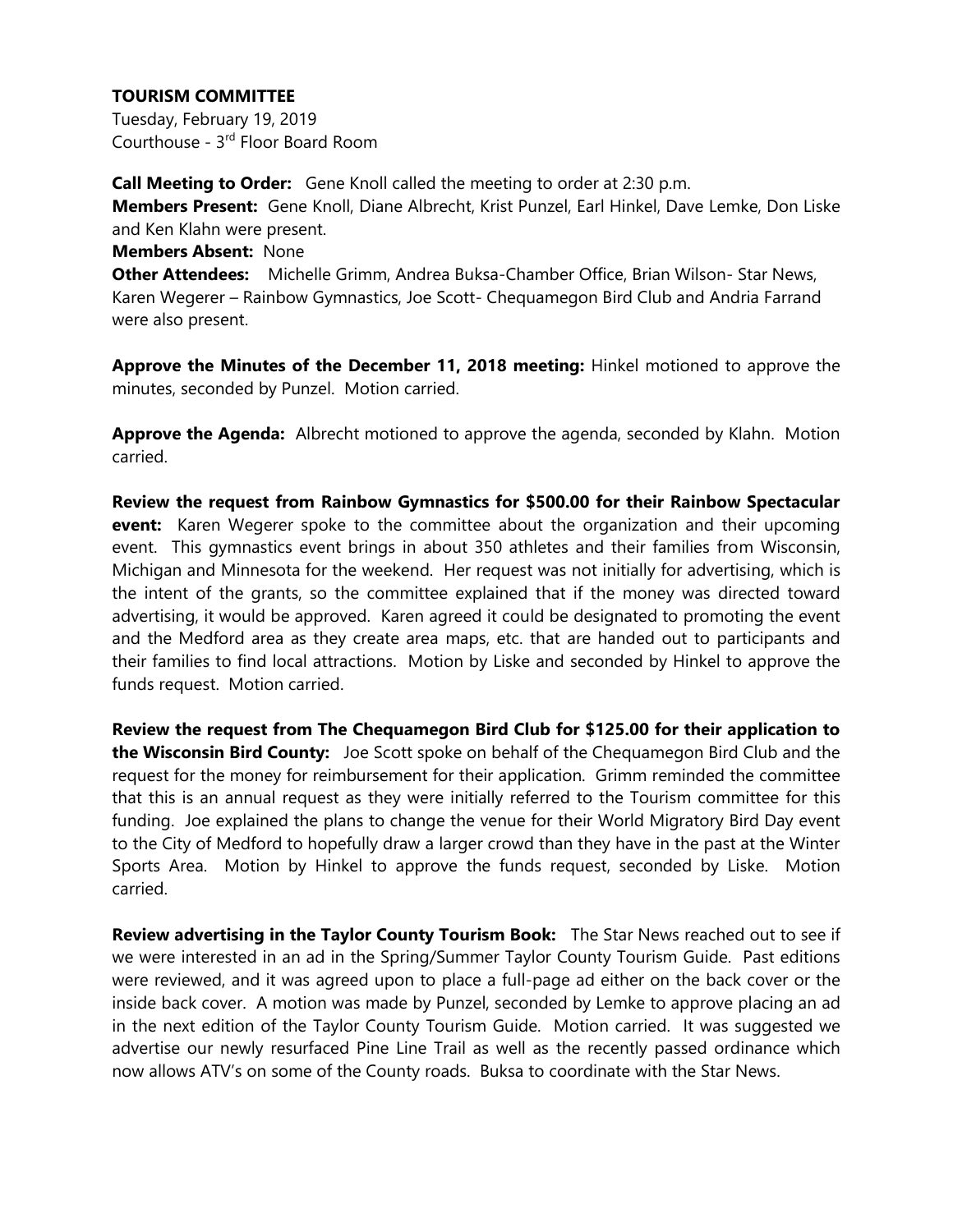Tuesday, February 19, 2019 Courthouse - 3<sup>rd</sup> Floor Board Room

**Call Meeting to Order:** Gene Knoll called the meeting to order at 2:30 p.m. **Members Present:** Gene Knoll, Diane Albrecht, Krist Punzel, Earl Hinkel, Dave Lemke, Don Liske and Ken Klahn were present.

### **Members Absent:** None

**Other Attendees:** Michelle Grimm, Andrea Buksa-Chamber Office, Brian Wilson- Star News, Karen Wegerer – Rainbow Gymnastics, Joe Scott- Chequamegon Bird Club and Andria Farrand were also present.

**Approve the Minutes of the December 11, 2018 meeting:** Hinkel motioned to approve the minutes, seconded by Punzel. Motion carried.

**Approve the Agenda:** Albrecht motioned to approve the agenda, seconded by Klahn. Motion carried.

**Review the request from Rainbow Gymnastics for \$500.00 for their Rainbow Spectacular event:** Karen Wegerer spoke to the committee about the organization and their upcoming event. This gymnastics event brings in about 350 athletes and their families from Wisconsin, Michigan and Minnesota for the weekend. Her request was not initially for advertising, which is the intent of the grants, so the committee explained that if the money was directed toward advertising, it would be approved. Karen agreed it could be designated to promoting the event and the Medford area as they create area maps, etc. that are handed out to participants and their families to find local attractions. Motion by Liske and seconded by Hinkel to approve the funds request. Motion carried.

**Review the request from The Chequamegon Bird Club for \$125.00 for their application to the Wisconsin Bird County:** Joe Scott spoke on behalf of the Chequamegon Bird Club and the request for the money for reimbursement for their application. Grimm reminded the committee that this is an annual request as they were initially referred to the Tourism committee for this funding. Joe explained the plans to change the venue for their World Migratory Bird Day event to the City of Medford to hopefully draw a larger crowd than they have in the past at the Winter Sports Area. Motion by Hinkel to approve the funds request, seconded by Liske. Motion carried.

**Review advertising in the Taylor County Tourism Book:** The Star News reached out to see if we were interested in an ad in the Spring/Summer Taylor County Tourism Guide. Past editions were reviewed, and it was agreed upon to place a full-page ad either on the back cover or the inside back cover. A motion was made by Punzel, seconded by Lemke to approve placing an ad in the next edition of the Taylor County Tourism Guide. Motion carried. It was suggested we advertise our newly resurfaced Pine Line Trail as well as the recently passed ordinance which now allows ATV's on some of the County roads. Buksa to coordinate with the Star News.